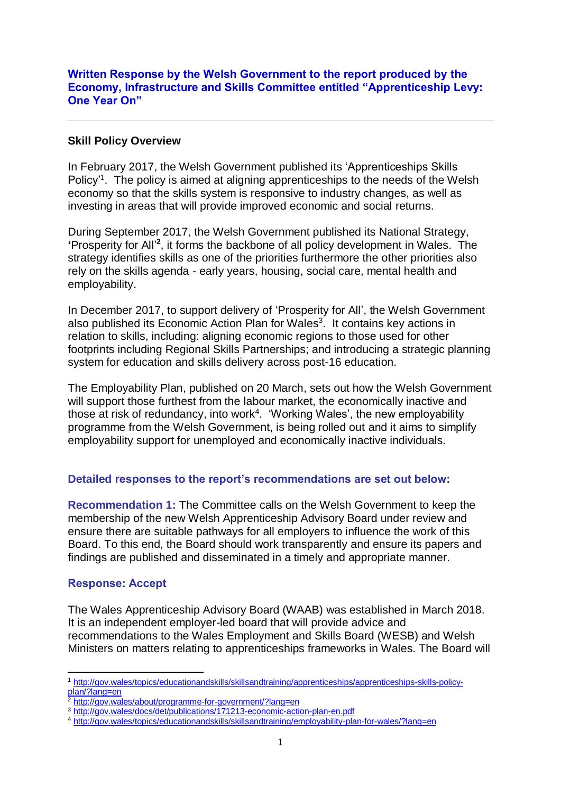### **Written Response by the Welsh Government to the report produced by the Economy, Infrastructure and Skills Committee entitled "Apprenticeship Levy: One Year On"**

### **Skill Policy Overview**

In February 2017, the Welsh Government published its 'Apprenticeships Skills Policy<sup>'1</sup>. The policy is aimed at aligning apprenticeships to the needs of the Welsh economy so that the skills system is responsive to industry changes, as well as investing in areas that will provide improved economic and social returns.

During September 2017, the Welsh Government published its National Strategy, **'**Prosperity for All' **2** , it forms the backbone of all policy development in Wales. The strategy identifies skills as one of the priorities furthermore the other priorities also rely on the skills agenda - early years, housing, social care, mental health and employability.

In December 2017, to support delivery of 'Prosperity for All', the Welsh Government also published its Economic Action Plan for Wales<sup>3</sup>. It contains key actions in relation to skills, including: aligning economic regions to those used for other footprints including Regional Skills Partnerships; and introducing a strategic planning system for education and skills delivery across post-16 education.

The Employability Plan, published on 20 March, sets out how the Welsh Government will support those furthest from the labour market, the economically inactive and those at risk of redundancy, into work<sup>4</sup>. 'Working Wales', the new employability programme from the Welsh Government, is being rolled out and it aims to simplify employability support for unemployed and economically inactive individuals.

# **Detailed responses to the report's recommendations are set out below:**

**Recommendation 1:** The Committee calls on the Welsh Government to keep the membership of the new Welsh Apprenticeship Advisory Board under review and ensure there are suitable pathways for all employers to influence the work of this Board. To this end, the Board should work transparently and ensure its papers and findings are published and disseminated in a timely and appropriate manner.

#### **Response: Accept**

**.** 

The Wales Apprenticeship Advisory Board (WAAB) was established in March 2018. It is an independent employer-led board that will provide advice and recommendations to the Wales Employment and Skills Board (WESB) and Welsh Ministers on matters relating to apprenticeships frameworks in Wales. The Board will

<sup>1</sup> [http://gov.wales/topics/educationandskills/skillsandtraining/apprenticeships/apprenticeships-skills-policy](http://gov.wales/topics/educationandskills/skillsandtraining/apprenticeships/apprenticeships-skills-policy-plan/?lang=en)[plan/?lang=en](http://gov.wales/topics/educationandskills/skillsandtraining/apprenticeships/apprenticeships-skills-policy-plan/?lang=en)

<sup>&</sup>lt;sup>2</sup> <http://gov.wales/about/programme-for-government/?lang=en>

<sup>3</sup> <http://gov.wales/docs/det/publications/171213-economic-action-plan-en.pdf>

<sup>4</sup> <http://gov.wales/topics/educationandskills/skillsandtraining/employability-plan-for-wales/?lang=en>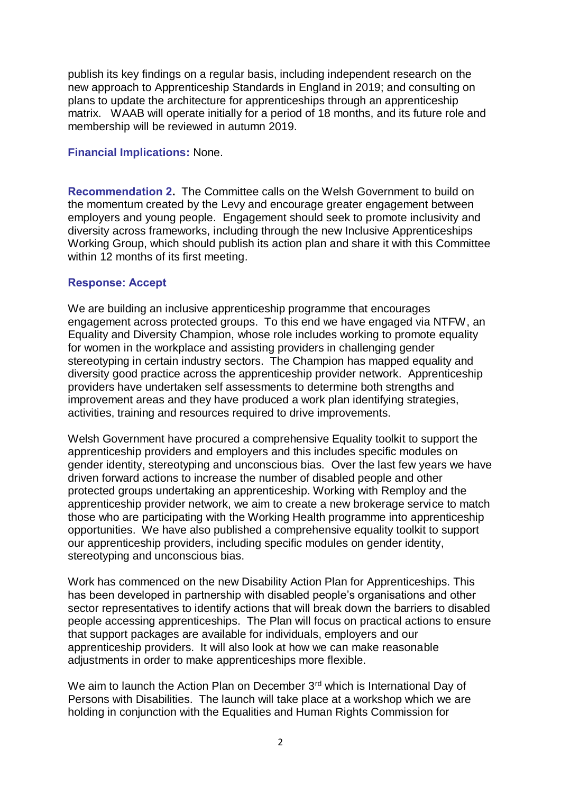publish its key findings on a regular basis, including independent research on the new approach to Apprenticeship Standards in England in 2019; and consulting on plans to update the architecture for apprenticeships through an apprenticeship matrix. WAAB will operate initially for a period of 18 months, and its future role and membership will be reviewed in autumn 2019.

### **Financial Implications:** None.

**Recommendation 2.** The Committee calls on the Welsh Government to build on the momentum created by the Levy and encourage greater engagement between employers and young people. Engagement should seek to promote inclusivity and diversity across frameworks, including through the new Inclusive Apprenticeships Working Group, which should publish its action plan and share it with this Committee within 12 months of its first meeting.

### **Response: Accept**

We are building an inclusive apprenticeship programme that encourages engagement across protected groups. To this end we have engaged via NTFW, an Equality and Diversity Champion, whose role includes working to promote equality for women in the workplace and assisting providers in challenging gender stereotyping in certain industry sectors. The Champion has mapped equality and diversity good practice across the apprenticeship provider network. Apprenticeship providers have undertaken self assessments to determine both strengths and improvement areas and they have produced a work plan identifying strategies, activities, training and resources required to drive improvements.

Welsh Government have procured a comprehensive Equality toolkit to support the apprenticeship providers and employers and this includes specific modules on gender identity, stereotyping and unconscious bias. Over the last few years we have driven forward actions to increase the number of disabled people and other protected groups undertaking an apprenticeship. Working with Remploy and the apprenticeship provider network, we aim to create a new brokerage service to match those who are participating with the Working Health programme into apprenticeship opportunities. We have also published a comprehensive equality toolkit to support our apprenticeship providers, including specific modules on gender identity, stereotyping and unconscious bias.

Work has commenced on the new Disability Action Plan for Apprenticeships. This has been developed in partnership with disabled people's organisations and other sector representatives to identify actions that will break down the barriers to disabled people accessing apprenticeships. The Plan will focus on practical actions to ensure that support packages are available for individuals, employers and our apprenticeship providers. It will also look at how we can make reasonable adjustments in order to make apprenticeships more flexible.

We aim to launch the Action Plan on December 3<sup>rd</sup> which is International Day of Persons with Disabilities. The launch will take place at a workshop which we are holding in conjunction with the Equalities and Human Rights Commission for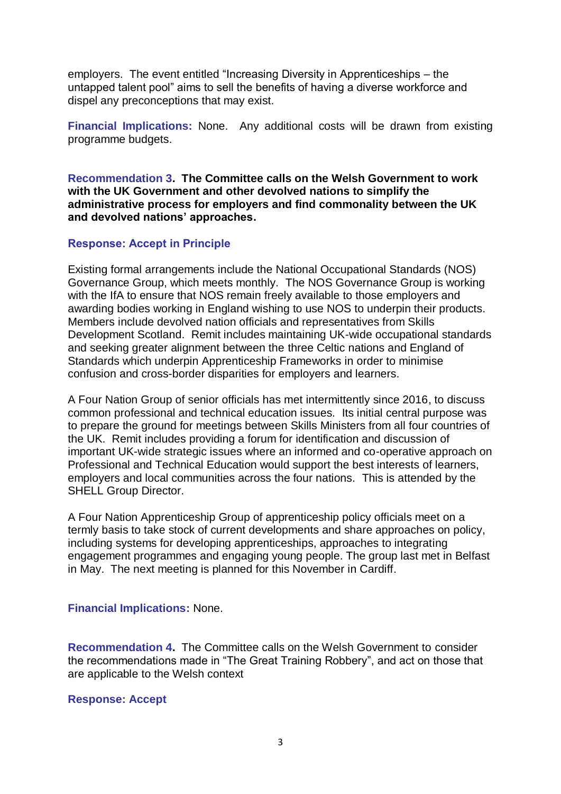employers. The event entitled "Increasing Diversity in Apprenticeships – the untapped talent pool" aims to sell the benefits of having a diverse workforce and dispel any preconceptions that may exist.

**Financial Implications:** None. Any additional costs will be drawn from existing programme budgets.

**Recommendation 3. The Committee calls on the Welsh Government to work with the UK Government and other devolved nations to simplify the administrative process for employers and find commonality between the UK and devolved nations' approaches.**

# **Response: Accept in Principle**

Existing formal arrangements include the National Occupational Standards (NOS) Governance Group, which meets monthly. The NOS Governance Group is working with the IfA to ensure that NOS remain freely available to those employers and awarding bodies working in England wishing to use NOS to underpin their products. Members include devolved nation officials and representatives from Skills Development Scotland. Remit includes maintaining UK-wide occupational standards and seeking greater alignment between the three Celtic nations and England of Standards which underpin Apprenticeship Frameworks in order to minimise confusion and cross-border disparities for employers and learners.

A Four Nation Group of senior officials has met intermittently since 2016, to discuss common professional and technical education issues. Its initial central purpose was to prepare the ground for meetings between Skills Ministers from all four countries of the UK. Remit includes providing a forum for identification and discussion of important UK-wide strategic issues where an informed and co-operative approach on Professional and Technical Education would support the best interests of learners, employers and local communities across the four nations. This is attended by the SHELL Group Director.

A Four Nation Apprenticeship Group of apprenticeship policy officials meet on a termly basis to take stock of current developments and share approaches on policy, including systems for developing apprenticeships, approaches to integrating engagement programmes and engaging young people. The group last met in Belfast in May. The next meeting is planned for this November in Cardiff.

#### **Financial Implications:** None.

**Recommendation 4.** The Committee calls on the Welsh Government to consider the recommendations made in "The Great Training Robbery", and act on those that are applicable to the Welsh context

#### **Response: Accept**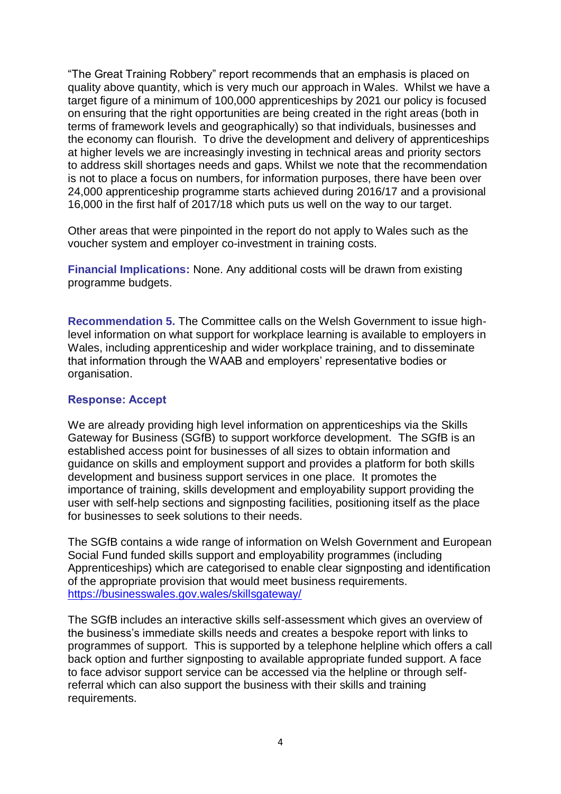"The Great Training Robbery" report recommends that an emphasis is placed on quality above quantity, which is very much our approach in Wales. Whilst we have a target figure of a minimum of 100,000 apprenticeships by 2021 our policy is focused on ensuring that the right opportunities are being created in the right areas (both in terms of framework levels and geographically) so that individuals, businesses and the economy can flourish. To drive the development and delivery of apprenticeships at higher levels we are increasingly investing in technical areas and priority sectors to address skill shortages needs and gaps. Whilst we note that the recommendation is not to place a focus on numbers, for information purposes, there have been over 24,000 apprenticeship programme starts achieved during 2016/17 and a provisional 16,000 in the first half of 2017/18 which puts us well on the way to our target.

Other areas that were pinpointed in the report do not apply to Wales such as the voucher system and employer co-investment in training costs.

**Financial Implications:** None. Any additional costs will be drawn from existing programme budgets.

**Recommendation 5.** The Committee calls on the Welsh Government to issue highlevel information on what support for workplace learning is available to employers in Wales, including apprenticeship and wider workplace training, and to disseminate that information through the WAAB and employers' representative bodies or organisation.

### **Response: Accept**

We are already providing high level information on apprenticeships via the Skills Gateway for Business (SGfB) to support workforce development. The SGfB is an established access point for businesses of all sizes to obtain information and guidance on skills and employment support and provides a platform for both skills development and business support services in one place. It promotes the importance of training, skills development and employability support providing the user with self-help sections and signposting facilities, positioning itself as the place for businesses to seek solutions to their needs.

The SGfB contains a wide range of information on Welsh Government and European Social Fund funded skills support and employability programmes (including Apprenticeships) which are categorised to enable clear signposting and identification of the appropriate provision that would meet business requirements. <https://businesswales.gov.wales/skillsgateway/>

The SGfB includes an interactive skills self-assessment which gives an overview of the business's immediate skills needs and creates a bespoke report with links to programmes of support. This is supported by a telephone helpline which offers a call back option and further signposting to available appropriate funded support. A face to face advisor support service can be accessed via the helpline or through selfreferral which can also support the business with their skills and training requirements.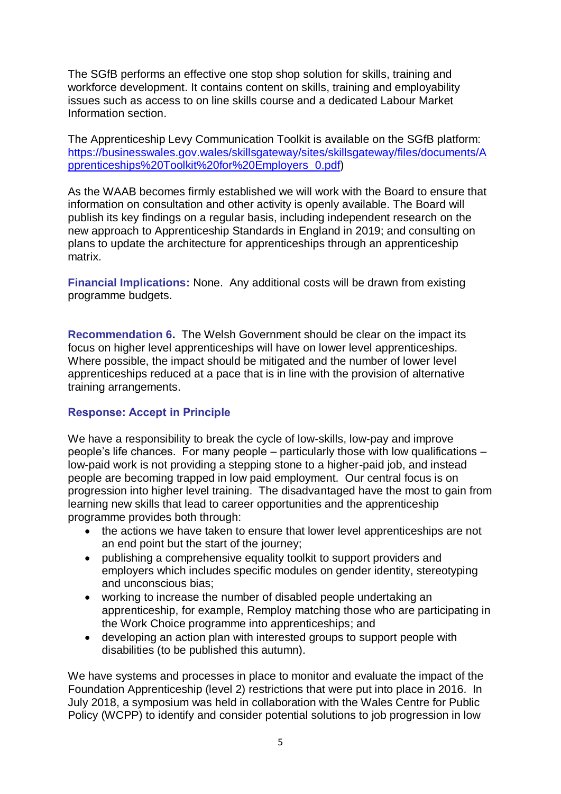The SGfB performs an effective one stop shop solution for skills, training and workforce development. It contains content on skills, training and employability issues such as access to on line skills course and a dedicated Labour Market Information section.

The Apprenticeship Levy Communication Toolkit is available on the SGfB platform: [https://businesswales.gov.wales/skillsgateway/sites/skillsgateway/files/documents/A](https://businesswales.gov.wales/skillsgateway/sites/skillsgateway/files/documents/Apprenticeships%20Toolkit%20for%20Employers_0.pdf) [pprenticeships%20Toolkit%20for%20Employers\\_0.pdf\)](https://businesswales.gov.wales/skillsgateway/sites/skillsgateway/files/documents/Apprenticeships%20Toolkit%20for%20Employers_0.pdf)

As the WAAB becomes firmly established we will work with the Board to ensure that information on consultation and other activity is openly available. The Board will publish its key findings on a regular basis, including independent research on the new approach to Apprenticeship Standards in England in 2019; and consulting on plans to update the architecture for apprenticeships through an apprenticeship matrix.

**Financial Implications:** None. Any additional costs will be drawn from existing programme budgets.

**Recommendation 6.** The Welsh Government should be clear on the impact its focus on higher level apprenticeships will have on lower level apprenticeships. Where possible, the impact should be mitigated and the number of lower level apprenticeships reduced at a pace that is in line with the provision of alternative training arrangements.

# **Response: Accept in Principle**

We have a responsibility to break the cycle of low-skills, low-pay and improve people's life chances. For many people – particularly those with low qualifications – low-paid work is not providing a stepping stone to a higher-paid job, and instead people are becoming trapped in low paid employment. Our central focus is on progression into higher level training. The disadvantaged have the most to gain from learning new skills that lead to career opportunities and the apprenticeship programme provides both through:

- the actions we have taken to ensure that lower level apprenticeships are not an end point but the start of the journey;
- publishing a comprehensive equality toolkit to support providers and employers which includes specific modules on gender identity, stereotyping and unconscious bias;
- working to increase the number of disabled people undertaking an apprenticeship, for example, Remploy matching those who are participating in the Work Choice programme into apprenticeships; and
- developing an action plan with interested groups to support people with disabilities (to be published this autumn).

We have systems and processes in place to monitor and evaluate the impact of the Foundation Apprenticeship (level 2) restrictions that were put into place in 2016. In July 2018, a symposium was held in collaboration with the Wales Centre for Public Policy (WCPP) to identify and consider potential solutions to job progression in low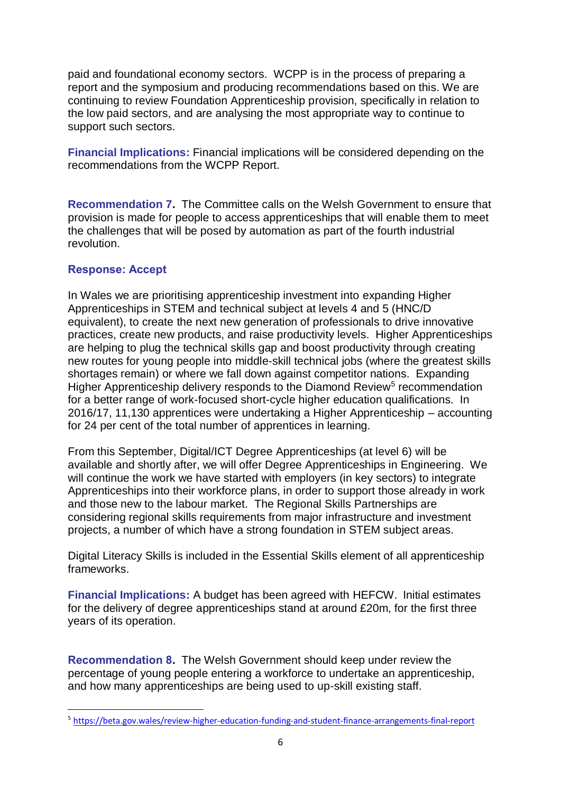paid and foundational economy sectors. WCPP is in the process of preparing a report and the symposium and producing recommendations based on this. We are continuing to review Foundation Apprenticeship provision, specifically in relation to the low paid sectors, and are analysing the most appropriate way to continue to support such sectors.

**Financial Implications:** Financial implications will be considered depending on the recommendations from the WCPP Report.

**Recommendation 7.** The Committee calls on the Welsh Government to ensure that provision is made for people to access apprenticeships that will enable them to meet the challenges that will be posed by automation as part of the fourth industrial revolution.

# **Response: Accept**

-

In Wales we are prioritising apprenticeship investment into expanding Higher Apprenticeships in STEM and technical subject at levels 4 and 5 (HNC/D equivalent), to create the next new generation of professionals to drive innovative practices, create new products, and raise productivity levels. Higher Apprenticeships are helping to plug the technical skills gap and boost productivity through creating new routes for young people into middle-skill technical jobs (where the greatest skills shortages remain) or where we fall down against competitor nations. Expanding Higher Apprenticeship delivery responds to the Diamond Review<sup>5</sup> recommendation for a better range of work-focused short-cycle higher education qualifications. In 2016/17, 11,130 apprentices were undertaking a Higher Apprenticeship – accounting for 24 per cent of the total number of apprentices in learning.

From this September, Digital/ICT Degree Apprenticeships (at level 6) will be available and shortly after, we will offer Degree Apprenticeships in Engineering. We will continue the work we have started with employers (in key sectors) to integrate Apprenticeships into their workforce plans, in order to support those already in work and those new to the labour market. The Regional Skills Partnerships are considering regional skills requirements from major infrastructure and investment projects, a number of which have a strong foundation in STEM subject areas.

Digital Literacy Skills is included in the Essential Skills element of all apprenticeship frameworks.

**Financial Implications:** A budget has been agreed with HEFCW. Initial estimates for the delivery of degree apprenticeships stand at around £20m, for the first three years of its operation.

**Recommendation 8.** The Welsh Government should keep under review the percentage of young people entering a workforce to undertake an apprenticeship, and how many apprenticeships are being used to up-skill existing staff.

<sup>5</sup> <https://beta.gov.wales/review-higher-education-funding-and-student-finance-arrangements-final-report>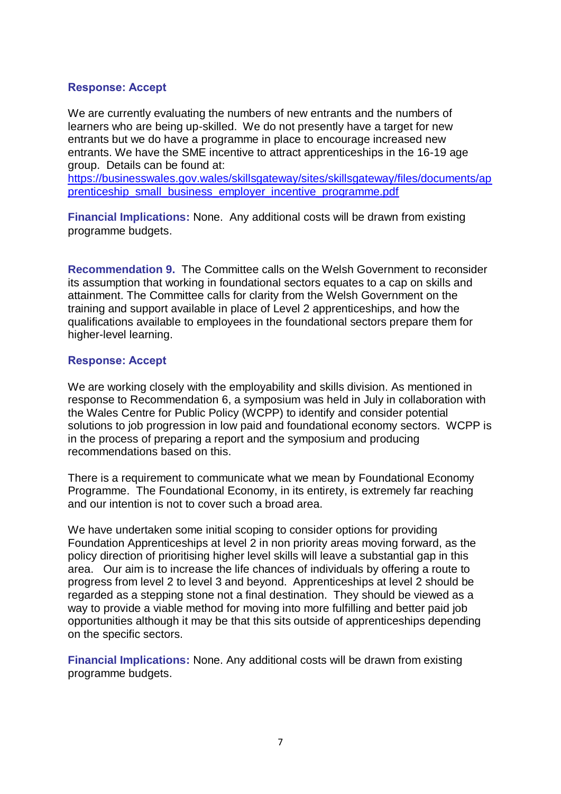### **Response: Accept**

We are currently evaluating the numbers of new entrants and the numbers of learners who are being up-skilled. We do not presently have a target for new entrants but we do have a programme in place to encourage increased new entrants. We have the SME incentive to attract apprenticeships in the 16-19 age group. Details can be found at:

[https://businesswales.gov.wales/skillsgateway/sites/skillsgateway/files/documents/ap](https://businesswales.gov.wales/skillsgateway/sites/skillsgateway/files/documents/apprenticeship_small_business_employer_incentive_programme.pdf) [prenticeship\\_small\\_business\\_employer\\_incentive\\_programme.pdf](https://businesswales.gov.wales/skillsgateway/sites/skillsgateway/files/documents/apprenticeship_small_business_employer_incentive_programme.pdf)

**Financial Implications:** None. Any additional costs will be drawn from existing programme budgets.

**Recommendation 9.** The Committee calls on the Welsh Government to reconsider its assumption that working in foundational sectors equates to a cap on skills and attainment. The Committee calls for clarity from the Welsh Government on the training and support available in place of Level 2 apprenticeships, and how the qualifications available to employees in the foundational sectors prepare them for higher-level learning.

#### **Response: Accept**

We are working closely with the employability and skills division. As mentioned in response to Recommendation 6, a symposium was held in July in collaboration with the Wales Centre for Public Policy (WCPP) to identify and consider potential solutions to job progression in low paid and foundational economy sectors. WCPP is in the process of preparing a report and the symposium and producing recommendations based on this.

There is a requirement to communicate what we mean by Foundational Economy Programme. The Foundational Economy, in its entirety, is extremely far reaching and our intention is not to cover such a broad area.

We have undertaken some initial scoping to consider options for providing Foundation Apprenticeships at level 2 in non priority areas moving forward, as the policy direction of prioritising higher level skills will leave a substantial gap in this area. Our aim is to increase the life chances of individuals by offering a route to progress from level 2 to level 3 and beyond. Apprenticeships at level 2 should be regarded as a stepping stone not a final destination. They should be viewed as a way to provide a viable method for moving into more fulfilling and better paid job opportunities although it may be that this sits outside of apprenticeships depending on the specific sectors.

**Financial Implications:** None. Any additional costs will be drawn from existing programme budgets.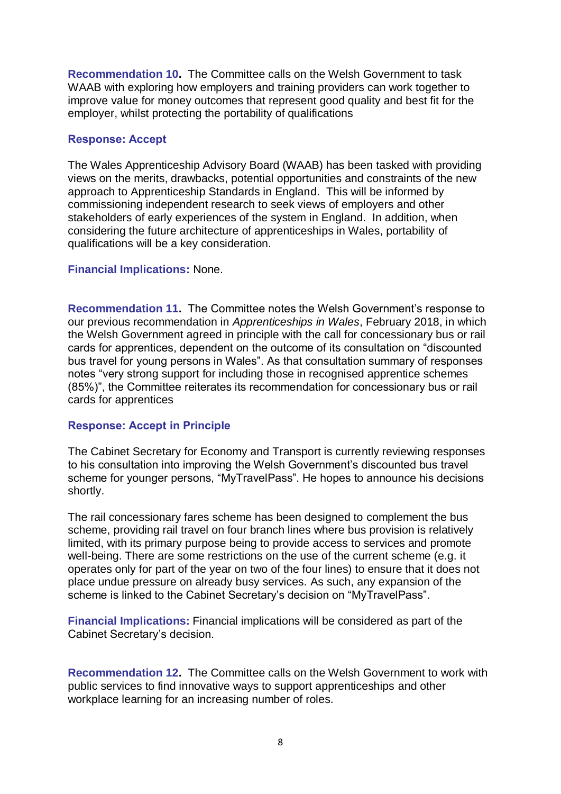**Recommendation 10.** The Committee calls on the Welsh Government to task WAAB with exploring how employers and training providers can work together to improve value for money outcomes that represent good quality and best fit for the employer, whilst protecting the portability of qualifications

# **Response: Accept**

The Wales Apprenticeship Advisory Board (WAAB) has been tasked with providing views on the merits, drawbacks, potential opportunities and constraints of the new approach to Apprenticeship Standards in England. This will be informed by commissioning independent research to seek views of employers and other stakeholders of early experiences of the system in England. In addition, when considering the future architecture of apprenticeships in Wales, portability of qualifications will be a key consideration.

### **Financial Implications:** None.

**Recommendation 11.** The Committee notes the Welsh Government's response to our previous recommendation in *Apprenticeships in Wales*, February 2018, in which the Welsh Government agreed in principle with the call for concessionary bus or rail cards for apprentices, dependent on the outcome of its consultation on "discounted bus travel for young persons in Wales". As that consultation summary of responses notes "very strong support for including those in recognised apprentice schemes (85%)", the Committee reiterates its recommendation for concessionary bus or rail cards for apprentices

# **Response: Accept in Principle**

The Cabinet Secretary for Economy and Transport is currently reviewing responses to his consultation into improving the Welsh Government's discounted bus travel scheme for younger persons, "MyTravelPass". He hopes to announce his decisions shortly.

The rail concessionary fares scheme has been designed to complement the bus scheme, providing rail travel on four branch lines where bus provision is relatively limited, with its primary purpose being to provide access to services and promote well-being. There are some restrictions on the use of the current scheme (e.g. it operates only for part of the year on two of the four lines) to ensure that it does not place undue pressure on already busy services. As such, any expansion of the scheme is linked to the Cabinet Secretary's decision on "MyTravelPass".

**Financial Implications:** Financial implications will be considered as part of the Cabinet Secretary's decision.

**Recommendation 12.** The Committee calls on the Welsh Government to work with public services to find innovative ways to support apprenticeships and other workplace learning for an increasing number of roles.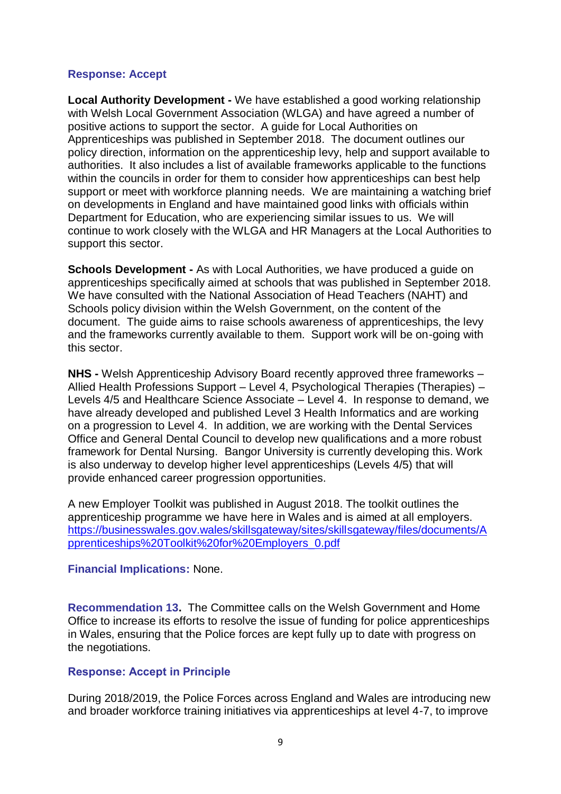# **Response: Accept**

**Local Authority Development -** We have established a good working relationship with Welsh Local Government Association (WLGA) and have agreed a number of positive actions to support the sector. A guide for Local Authorities on Apprenticeships was published in September 2018. The document outlines our policy direction, information on the apprenticeship levy, help and support available to authorities. It also includes a list of available frameworks applicable to the functions within the councils in order for them to consider how apprenticeships can best help support or meet with workforce planning needs. We are maintaining a watching brief on developments in England and have maintained good links with officials within Department for Education, who are experiencing similar issues to us. We will continue to work closely with the WLGA and HR Managers at the Local Authorities to support this sector.

**Schools Development -** As with Local Authorities, we have produced a guide on apprenticeships specifically aimed at schools that was published in September 2018. We have consulted with the National Association of Head Teachers (NAHT) and Schools policy division within the Welsh Government, on the content of the document. The guide aims to raise schools awareness of apprenticeships, the levy and the frameworks currently available to them. Support work will be on-going with this sector.

**NHS -** Welsh Apprenticeship Advisory Board recently approved three frameworks – Allied Health Professions Support – Level 4, Psychological Therapies (Therapies) – Levels 4/5 and Healthcare Science Associate – Level 4. In response to demand, we have already developed and published Level 3 Health Informatics and are working on a progression to Level 4. In addition, we are working with the Dental Services Office and General Dental Council to develop new qualifications and a more robust framework for Dental Nursing. Bangor University is currently developing this. Work is also underway to develop higher level apprenticeships (Levels 4/5) that will provide enhanced career progression opportunities.

A new Employer Toolkit was published in August 2018. The toolkit outlines the apprenticeship programme we have here in Wales and is aimed at all employers. [https://businesswales.gov.wales/skillsgateway/sites/skillsgateway/files/documents/A](https://businesswales.gov.wales/skillsgateway/sites/skillsgateway/files/documents/Apprenticeships%20Toolkit%20for%20Employers_0.pdf) [pprenticeships%20Toolkit%20for%20Employers\\_0.pdf](https://businesswales.gov.wales/skillsgateway/sites/skillsgateway/files/documents/Apprenticeships%20Toolkit%20for%20Employers_0.pdf)

**Financial Implications:** None.

**Recommendation 13.** The Committee calls on the Welsh Government and Home Office to increase its efforts to resolve the issue of funding for police apprenticeships in Wales, ensuring that the Police forces are kept fully up to date with progress on the negotiations.

# **Response: Accept in Principle**

During 2018/2019, the Police Forces across England and Wales are introducing new and broader workforce training initiatives via apprenticeships at level 4-7, to improve